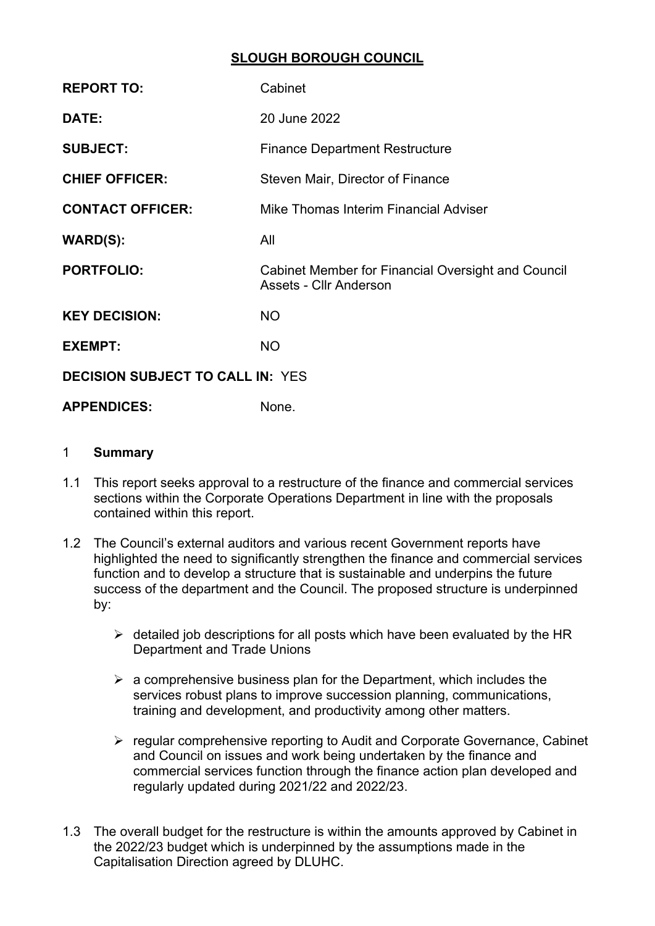### **SLOUGH BOROUGH COUNCIL**

| <b>REPORT TO:</b>                       | Cabinet                                                                             |  |
|-----------------------------------------|-------------------------------------------------------------------------------------|--|
| DATE:                                   | 20 June 2022                                                                        |  |
| <b>SUBJECT:</b>                         | <b>Finance Department Restructure</b>                                               |  |
| <b>CHIEF OFFICER:</b>                   | Steven Mair, Director of Finance                                                    |  |
| <b>CONTACT OFFICER:</b>                 | Mike Thomas Interim Financial Adviser                                               |  |
| <b>WARD(S):</b>                         | All                                                                                 |  |
| <b>PORTFOLIO:</b>                       | <b>Cabinet Member for Financial Oversight and Council</b><br>Assets - Cllr Anderson |  |
| <b>KEY DECISION:</b>                    | <b>NO</b>                                                                           |  |
| <b>EXEMPT:</b>                          | <b>NO</b>                                                                           |  |
| <b>DECISION SUBJECT TO CALL IN: YES</b> |                                                                                     |  |
| <b>APPENDICES:</b>                      | None.                                                                               |  |

### 1 **Summary**

- 1.1 This report seeks approval to a restructure of the finance and commercial services sections within the Corporate Operations Department in line with the proposals contained within this report.
- 1.2 The Council's external auditors and various recent Government reports have highlighted the need to significantly strengthen the finance and commercial services function and to develop a structure that is sustainable and underpins the future success of the department and the Council. The proposed structure is underpinned by:
	- $\triangleright$  detailed job descriptions for all posts which have been evaluated by the HR Department and Trade Unions
	- $\triangleright$  a comprehensive business plan for the Department, which includes the services robust plans to improve succession planning, communications, training and development, and productivity among other matters.
	- $\triangleright$  regular comprehensive reporting to Audit and Corporate Governance, Cabinet and Council on issues and work being undertaken by the finance and commercial services function through the finance action plan developed and regularly updated during 2021/22 and 2022/23.
- 1.3 The overall budget for the restructure is within the amounts approved by Cabinet in the 2022/23 budget which is underpinned by the assumptions made in the Capitalisation Direction agreed by DLUHC.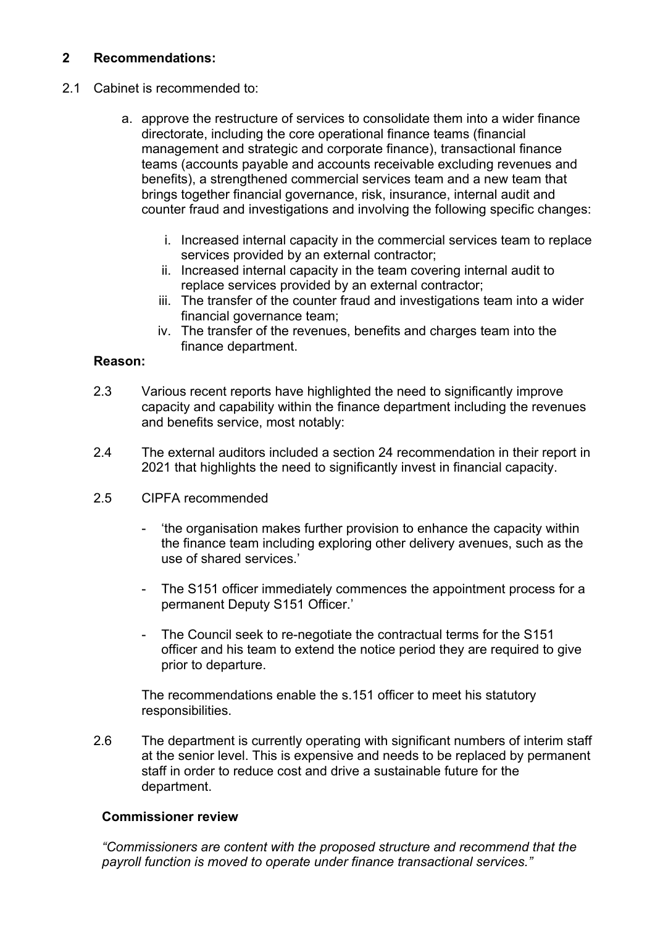# **2 Recommendations:**

- 2.1 Cabinet is recommended to:
	- a. approve the restructure of services to consolidate them into a wider finance directorate, including the core operational finance teams (financial management and strategic and corporate finance), transactional finance teams (accounts payable and accounts receivable excluding revenues and benefits), a strengthened commercial services team and a new team that brings together financial governance, risk, insurance, internal audit and counter fraud and investigations and involving the following specific changes:
		- i. Increased internal capacity in the commercial services team to replace services provided by an external contractor;
		- ii. Increased internal capacity in the team covering internal audit to replace services provided by an external contractor;
		- iii. The transfer of the counter fraud and investigations team into a wider financial governance team;
		- iv. The transfer of the revenues, benefits and charges team into the finance department.

### **Reason:**

- 2.3 Various recent reports have highlighted the need to significantly improve capacity and capability within the finance department including the revenues and benefits service, most notably:
- 2.4 The external auditors included a section 24 recommendation in their report in 2021 that highlights the need to significantly invest in financial capacity.
- 2.5 CIPFA recommended
	- 'the organisation makes further provision to enhance the capacity within the finance team including exploring other delivery avenues, such as the use of shared services.'
	- The S151 officer immediately commences the appointment process for a permanent Deputy S151 Officer.'
	- The Council seek to re-negotiate the contractual terms for the S151 officer and his team to extend the notice period they are required to give prior to departure.

The recommendations enable the s.151 officer to meet his statutory responsibilities.

2.6 The department is currently operating with significant numbers of interim staff at the senior level. This is expensive and needs to be replaced by permanent staff in order to reduce cost and drive a sustainable future for the department.

#### **Commissioner review**

*"Commissioners are content with the proposed structure and recommend that the payroll function is moved to operate under finance transactional services."*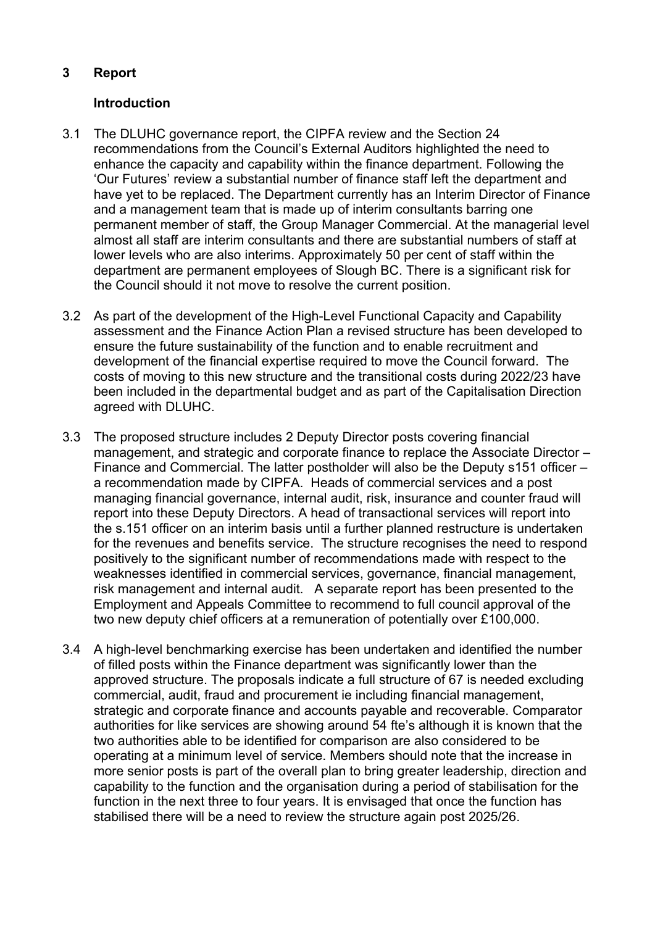# **3 Report**

# **Introduction**

- 3.1 The DLUHC governance report, the CIPFA review and the Section 24 recommendations from the Council's External Auditors highlighted the need to enhance the capacity and capability within the finance department. Following the 'Our Futures' review a substantial number of finance staff left the department and have yet to be replaced. The Department currently has an Interim Director of Finance and a management team that is made up of interim consultants barring one permanent member of staff, the Group Manager Commercial. At the managerial level almost all staff are interim consultants and there are substantial numbers of staff at lower levels who are also interims. Approximately 50 per cent of staff within the department are permanent employees of Slough BC. There is a significant risk for the Council should it not move to resolve the current position.
- 3.2 As part of the development of the High-Level Functional Capacity and Capability assessment and the Finance Action Plan a revised structure has been developed to ensure the future sustainability of the function and to enable recruitment and development of the financial expertise required to move the Council forward. The costs of moving to this new structure and the transitional costs during 2022/23 have been included in the departmental budget and as part of the Capitalisation Direction agreed with DLUHC.
- 3.3 The proposed structure includes 2 Deputy Director posts covering financial management, and strategic and corporate finance to replace the Associate Director – Finance and Commercial. The latter postholder will also be the Deputy s151 officer – a recommendation made by CIPFA. Heads of commercial services and a post managing financial governance, internal audit, risk, insurance and counter fraud will report into these Deputy Directors. A head of transactional services will report into the s.151 officer on an interim basis until a further planned restructure is undertaken for the revenues and benefits service. The structure recognises the need to respond positively to the significant number of recommendations made with respect to the weaknesses identified in commercial services, governance, financial management, risk management and internal audit. A separate report has been presented to the Employment and Appeals Committee to recommend to full council approval of the two new deputy chief officers at a remuneration of potentially over £100,000.
- 3.4 A high-level benchmarking exercise has been undertaken and identified the number of filled posts within the Finance department was significantly lower than the approved structure. The proposals indicate a full structure of 67 is needed excluding commercial, audit, fraud and procurement ie including financial management, strategic and corporate finance and accounts payable and recoverable. Comparator authorities for like services are showing around 54 fte's although it is known that the two authorities able to be identified for comparison are also considered to be operating at a minimum level of service. Members should note that the increase in more senior posts is part of the overall plan to bring greater leadership, direction and capability to the function and the organisation during a period of stabilisation for the function in the next three to four years. It is envisaged that once the function has stabilised there will be a need to review the structure again post 2025/26.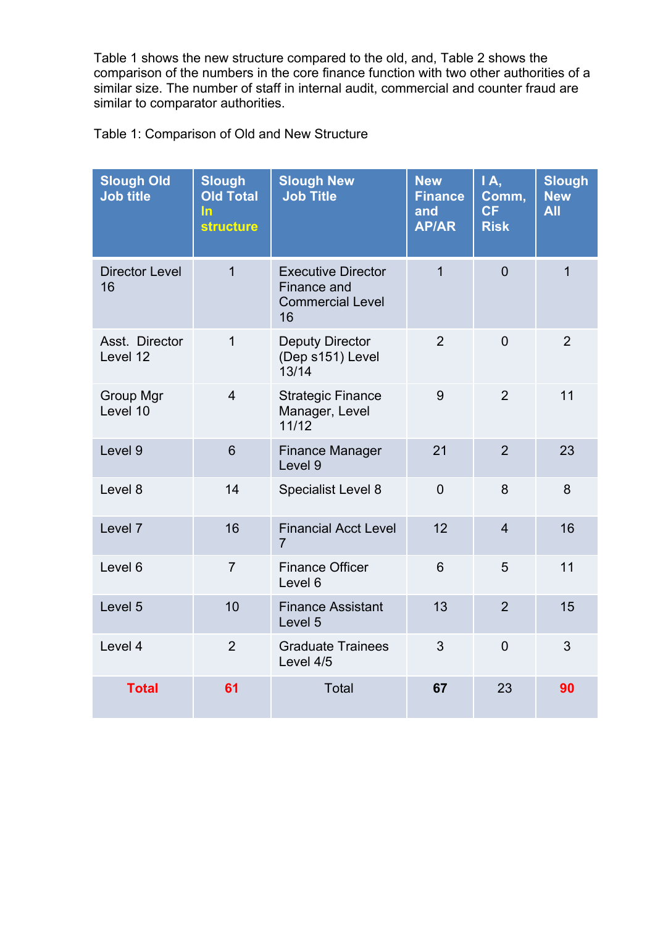Table 1 shows the new structure compared to the old, and, Table 2 shows the comparison of the numbers in the core finance function with two other authorities of a similar size. The number of staff in internal audit, commercial and counter fraud are similar to comparator authorities.

| Table 1: Comparison of Old and New Structure |  |  |  |
|----------------------------------------------|--|--|--|
|----------------------------------------------|--|--|--|

| <b>Slough Old</b><br><b>Job title</b> | <b>Slough</b><br><b>Old Total</b><br><u>In</u><br><b>structure</b> | <b>Slough New</b><br><b>Job Title</b>                                     | <b>New</b><br><b>Finance</b><br>and<br><b>AP/AR</b> | 1A,<br>Comm,<br>CF<br><b>Risk</b> | <b>Slough</b><br><b>New</b><br><b>All</b> |
|---------------------------------------|--------------------------------------------------------------------|---------------------------------------------------------------------------|-----------------------------------------------------|-----------------------------------|-------------------------------------------|
| <b>Director Level</b><br>16           | $\overline{1}$                                                     | <b>Executive Director</b><br>Finance and<br><b>Commercial Level</b><br>16 | $\overline{1}$                                      | $\overline{0}$                    | $\overline{1}$                            |
| Asst. Director<br>Level 12            | $\mathbf{1}$                                                       | <b>Deputy Director</b><br>(Dep s151) Level<br>13/14                       | $\overline{2}$                                      | $\overline{0}$                    | $\overline{2}$                            |
| <b>Group Mgr</b><br>Level 10          | $\overline{4}$                                                     | <b>Strategic Finance</b><br>Manager, Level<br>11/12                       | 9                                                   | $\overline{2}$                    | 11                                        |
| Level 9                               | 6                                                                  | <b>Finance Manager</b><br>Level 9                                         | 21                                                  | $\overline{2}$                    | 23                                        |
| Level 8                               | 14                                                                 | Specialist Level 8                                                        | $\Omega$                                            | 8                                 | 8                                         |
| Level 7                               | 16                                                                 | <b>Financial Acct Level</b><br>$\overline{7}$                             | 12                                                  | $\overline{4}$                    | 16                                        |
| Level 6                               | $\overline{7}$                                                     | <b>Finance Officer</b><br>Level 6                                         | 6                                                   | 5                                 | 11                                        |
| Level 5                               | 10                                                                 | <b>Finance Assistant</b><br>Level 5                                       | 13                                                  | $\overline{2}$                    | 15                                        |
| Level 4                               | $\overline{2}$                                                     | <b>Graduate Trainees</b><br>Level 4/5                                     | 3                                                   | $\overline{0}$                    | 3                                         |
| <b>Total</b>                          | 61                                                                 | <b>Total</b>                                                              | 67                                                  | 23                                | 90                                        |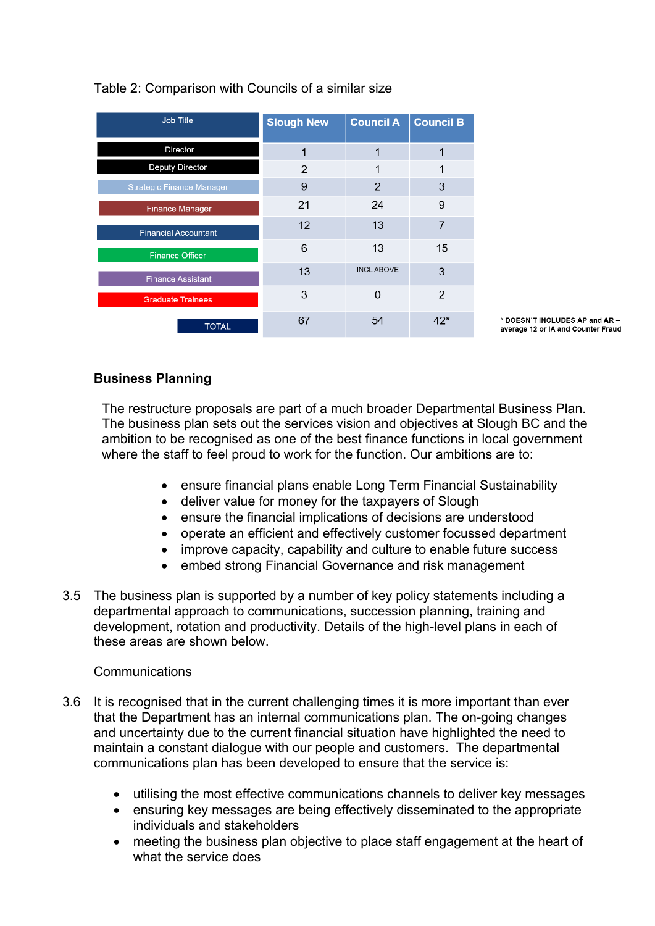| <b>Job Title</b>                 | <b>Slough New</b> | <b>Council A</b> | <b>Council B</b> |
|----------------------------------|-------------------|------------------|------------------|
| Director                         | 1                 | 1                |                  |
| <b>Deputy Director</b>           | 2                 |                  |                  |
| <b>Strategic Finance Manager</b> | 9                 | $\overline{2}$   | 3                |
| <b>Finance Manager</b>           | 21                | 24               | 9                |
| <b>Financial Accountant</b>      | 12                | 13               | 7                |
| <b>Finance Officer</b>           | 6                 | 13               | 15               |
| <b>Finance Assistant</b>         | 13                | <b>INCLABOVE</b> | 3                |
| <b>Graduate Trainees</b>         | 3                 | $\Omega$         | $\mathcal{P}$    |
| <b>TOTAL</b>                     | 67                | 54               | 42*              |

# Table 2: Comparison with Councils of a similar size

\* DOESN'T INCLUDES AP and AR average 12 or IA and Counter Fraud

# **Business Planning**

The restructure proposals are part of a much broader Departmental Business Plan. The business plan sets out the services vision and objectives at Slough BC and the ambition to be recognised as one of the best finance functions in local government where the staff to feel proud to work for the function. Our ambitions are to:

- ensure financial plans enable Long Term Financial Sustainability
- deliver value for money for the taxpayers of Slough
- ensure the financial implications of decisions are understood
- operate an efficient and effectively customer focussed department
- improve capacity, capability and culture to enable future success
- embed strong Financial Governance and risk management
- 3.5 The business plan is supported by a number of key policy statements including a departmental approach to communications, succession planning, training and development, rotation and productivity. Details of the high-level plans in each of these areas are shown below.

# Communications

- 3.6 It is recognised that in the current challenging times it is more important than ever that the Department has an internal communications plan. The on-going changes and uncertainty due to the current financial situation have highlighted the need to maintain a constant dialogue with our people and customers. The departmental communications plan has been developed to ensure that the service is:
	- utilising the most effective communications channels to deliver key messages
	- ensuring key messages are being effectively disseminated to the appropriate individuals and stakeholders
	- meeting the business plan objective to place staff engagement at the heart of what the service does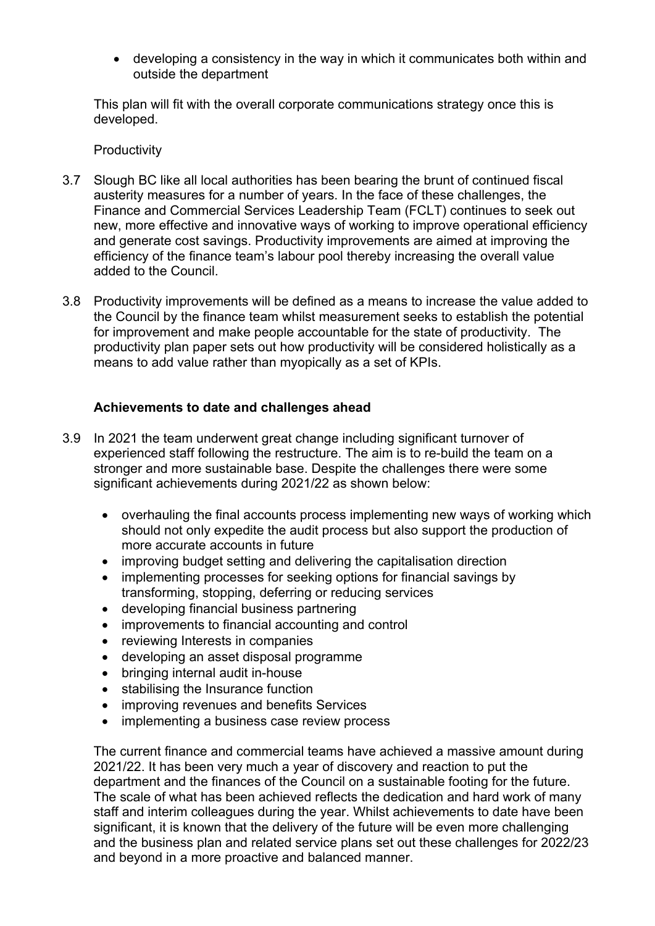developing a consistency in the way in which it communicates both within and outside the department

This plan will fit with the overall corporate communications strategy once this is developed.

**Productivity** 

- 3.7 Slough BC like all local authorities has been bearing the brunt of continued fiscal austerity measures for a number of years. In the face of these challenges, the Finance and Commercial Services Leadership Team (FCLT) continues to seek out new, more effective and innovative ways of working to improve operational efficiency and generate cost savings. Productivity improvements are aimed at improving the efficiency of the finance team's labour pool thereby increasing the overall value added to the Council.
- 3.8 Productivity improvements will be defined as a means to increase the value added to the Council by the finance team whilst measurement seeks to establish the potential for improvement and make people accountable for the state of productivity. The productivity plan paper sets out how productivity will be considered holistically as a means to add value rather than myopically as a set of KPIs.

### **Achievements to date and challenges ahead**

- 3.9 In 2021 the team underwent great change including significant turnover of experienced staff following the restructure. The aim is to re-build the team on a stronger and more sustainable base. Despite the challenges there were some significant achievements during 2021/22 as shown below:
	- overhauling the final accounts process implementing new ways of working which should not only expedite the audit process but also support the production of more accurate accounts in future
	- improving budget setting and delivering the capitalisation direction
	- implementing processes for seeking options for financial savings by transforming, stopping, deferring or reducing services
	- developing financial business partnering
	- improvements to financial accounting and control
	- reviewing Interests in companies
	- developing an asset disposal programme
	- bringing internal audit in-house
	- stabilising the Insurance function
	- improving revenues and benefits Services
	- implementing a business case review process

The current finance and commercial teams have achieved a massive amount during 2021/22. It has been very much a year of discovery and reaction to put the department and the finances of the Council on a sustainable footing for the future. The scale of what has been achieved reflects the dedication and hard work of many staff and interim colleagues during the year. Whilst achievements to date have been significant, it is known that the delivery of the future will be even more challenging and the business plan and related service plans set out these challenges for 2022/23 and beyond in a more proactive and balanced manner.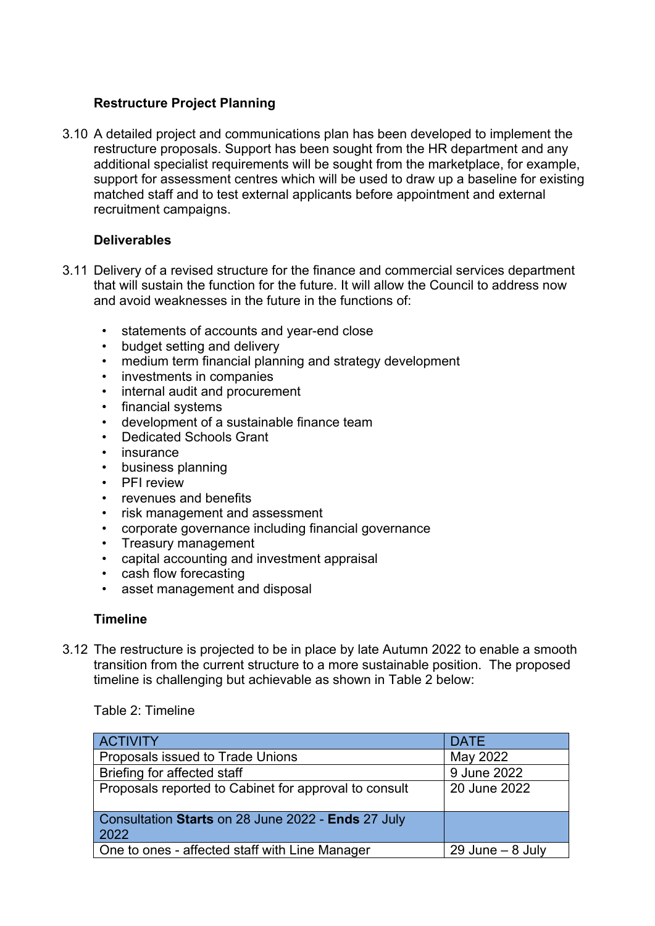# **Restructure Project Planning**

3.10 A detailed project and communications plan has been developed to implement the restructure proposals. Support has been sought from the HR department and any additional specialist requirements will be sought from the marketplace, for example, support for assessment centres which will be used to draw up a baseline for existing matched staff and to test external applicants before appointment and external recruitment campaigns.

# **Deliverables**

- 3.11 Delivery of a revised structure for the finance and commercial services department that will sustain the function for the future. It will allow the Council to address now and avoid weaknesses in the future in the functions of:
	- statements of accounts and year-end close
	- budget setting and delivery
	- medium term financial planning and strategy development
	- investments in companies
	- internal audit and procurement
	- financial systems
	- development of a sustainable finance team
	- Dedicated Schools Grant
	- insurance
	- business planning
	- PFI review
	- revenues and benefits
	- risk management and assessment
	- corporate governance including financial governance
	- Treasury management
	- capital accounting and investment appraisal
	- cash flow forecasting
	- asset management and disposal

#### **Timeline**

3.12 The restructure is projected to be in place by late Autumn 2022 to enable a smooth transition from the current structure to a more sustainable position. The proposed timeline is challenging but achievable as shown in Table 2 below:

Table 2: Timeline

| <b>ACTIVITY</b>                                              | <b>DATE</b>         |
|--------------------------------------------------------------|---------------------|
| Proposals issued to Trade Unions                             | May 2022            |
| Briefing for affected staff                                  | 9 June 2022         |
| Proposals reported to Cabinet for approval to consult        | 20 June 2022        |
| Consultation Starts on 28 June 2022 - Ends 27 July<br>  2022 |                     |
| One to ones - affected staff with Line Manager               | $29$ June $-8$ July |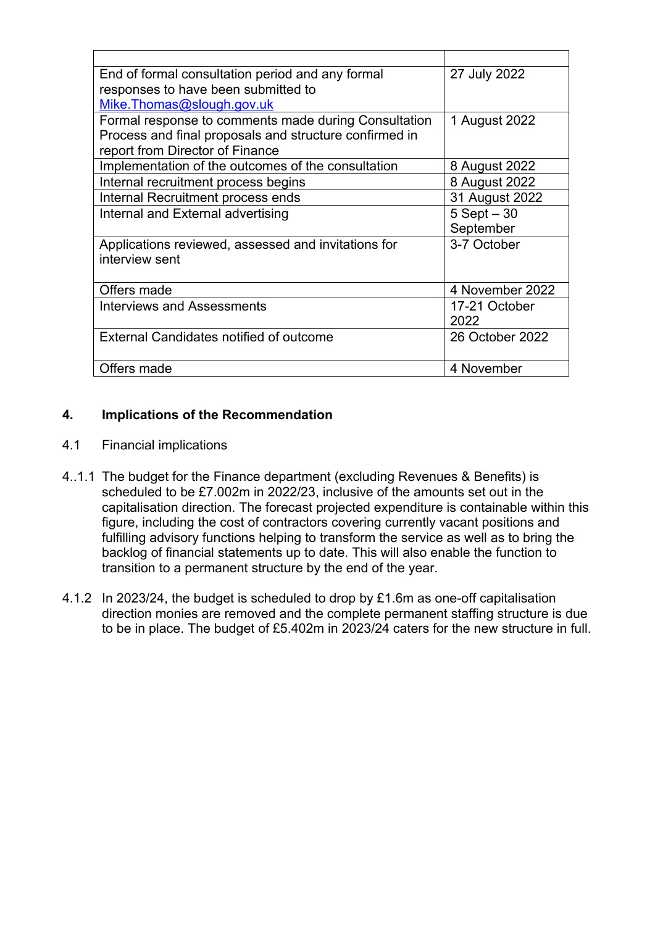| End of formal consultation period and any formal       | 27 July 2022    |
|--------------------------------------------------------|-----------------|
| responses to have been submitted to                    |                 |
| Mike.Thomas@slough.gov.uk                              |                 |
| Formal response to comments made during Consultation   | 1 August 2022   |
| Process and final proposals and structure confirmed in |                 |
| report from Director of Finance                        |                 |
| Implementation of the outcomes of the consultation     | 8 August 2022   |
| Internal recruitment process begins                    | 8 August 2022   |
| Internal Recruitment process ends                      | 31 August 2022  |
| Internal and External advertising                      | $5$ Sept $-30$  |
|                                                        | September       |
| Applications reviewed, assessed and invitations for    | 3-7 October     |
| interview sent                                         |                 |
|                                                        |                 |
| Offers made                                            | 4 November 2022 |
| <b>Interviews and Assessments</b>                      | 17-21 October   |
|                                                        | 2022            |
| External Candidates notified of outcome                | 26 October 2022 |
|                                                        |                 |
| Offers made                                            | 4 November      |
|                                                        |                 |

# **4. Implications of the Recommendation**

- 4.1 Financial implications
- 4..1.1 The budget for the Finance department (excluding Revenues & Benefits) is scheduled to be £7.002m in 2022/23, inclusive of the amounts set out in the capitalisation direction. The forecast projected expenditure is containable within this figure, including the cost of contractors covering currently vacant positions and fulfilling advisory functions helping to transform the service as well as to bring the backlog of financial statements up to date. This will also enable the function to transition to a permanent structure by the end of the year.
- 4.1.2 In 2023/24, the budget is scheduled to drop by £1.6m as one-off capitalisation direction monies are removed and the complete permanent staffing structure is due to be in place. The budget of £5.402m in 2023/24 caters for the new structure in full.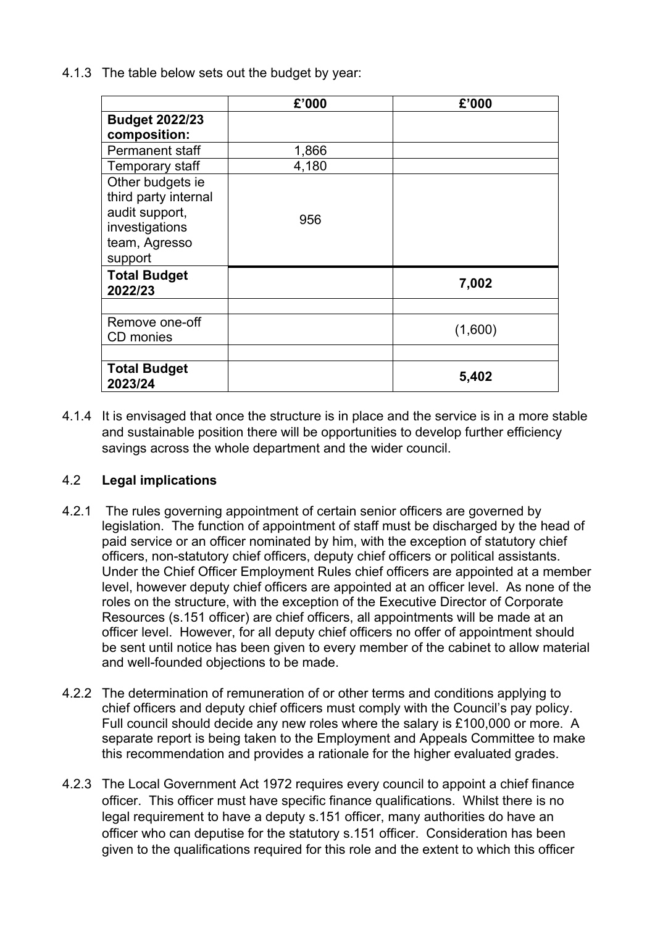4.1.3 The table below sets out the budget by year:

|                                                                                                          | £'000 | £'000   |
|----------------------------------------------------------------------------------------------------------|-------|---------|
| <b>Budget 2022/23</b>                                                                                    |       |         |
| composition:                                                                                             |       |         |
| <b>Permanent staff</b>                                                                                   | 1,866 |         |
| Temporary staff                                                                                          | 4,180 |         |
| Other budgets ie<br>third party internal<br>audit support,<br>investigations<br>team, Agresso<br>support | 956   |         |
| <b>Total Budget</b><br>2022/23                                                                           |       | 7,002   |
|                                                                                                          |       |         |
| Remove one-off<br>CD monies                                                                              |       | (1,600) |
|                                                                                                          |       |         |
| <b>Total Budget</b><br>2023/24                                                                           |       | 5,402   |

4.1.4 It is envisaged that once the structure is in place and the service is in a more stable and sustainable position there will be opportunities to develop further efficiency savings across the whole department and the wider council.

# 4.2 **Legal implications**

- 4.2.1 The rules governing appointment of certain senior officers are governed by legislation. The function of appointment of staff must be discharged by the head of paid service or an officer nominated by him, with the exception of statutory chief officers, non-statutory chief officers, deputy chief officers or political assistants. Under the Chief Officer Employment Rules chief officers are appointed at a member level, however deputy chief officers are appointed at an officer level. As none of the roles on the structure, with the exception of the Executive Director of Corporate Resources (s.151 officer) are chief officers, all appointments will be made at an officer level. However, for all deputy chief officers no offer of appointment should be sent until notice has been given to every member of the cabinet to allow material and well-founded objections to be made.
- 4.2.2 The determination of remuneration of or other terms and conditions applying to chief officers and deputy chief officers must comply with the Council's pay policy. Full council should decide any new roles where the salary is £100,000 or more. A separate report is being taken to the Employment and Appeals Committee to make this recommendation and provides a rationale for the higher evaluated grades.
- 4.2.3 The Local Government Act 1972 requires every council to appoint a chief finance officer. This officer must have specific finance qualifications. Whilst there is no legal requirement to have a deputy s.151 officer, many authorities do have an officer who can deputise for the statutory s.151 officer. Consideration has been given to the qualifications required for this role and the extent to which this officer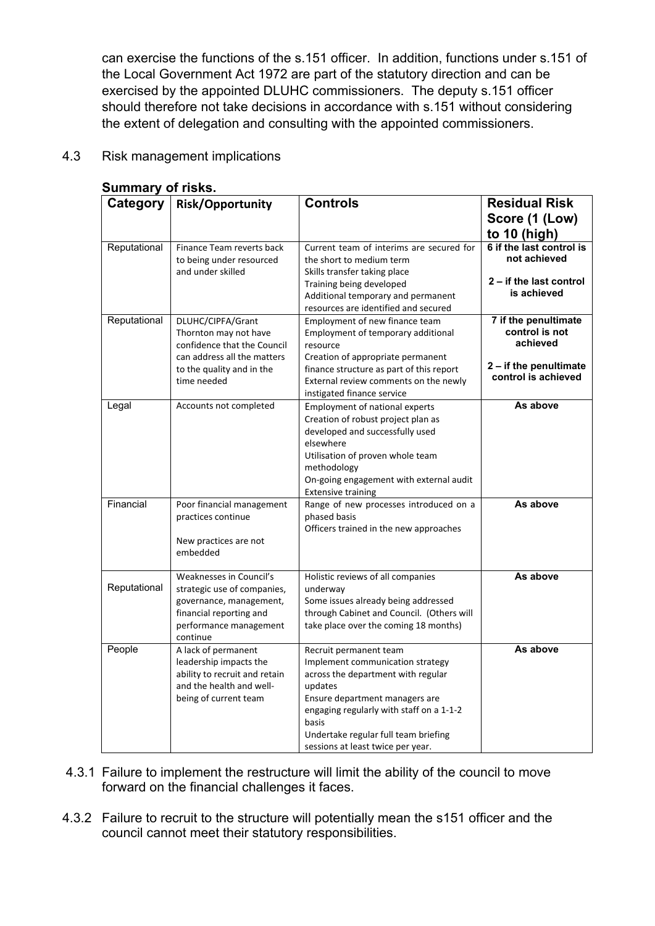can exercise the functions of the s.151 officer. In addition, functions under s.151 of the Local Government Act 1972 are part of the statutory direction and can be exercised by the appointed DLUHC commissioners. The deputy s.151 officer should therefore not take decisions in accordance with s.151 without considering the extent of delegation and consulting with the appointed commissioners.

### 4.3 Risk management implications

| Category     | <b>Risk/Opportunity</b>                                    | <b>Controls</b>                                                     | <b>Residual Risk</b>       |
|--------------|------------------------------------------------------------|---------------------------------------------------------------------|----------------------------|
|              |                                                            |                                                                     | Score (1 (Low)             |
|              |                                                            |                                                                     | to 10 (high)               |
| Reputational | Finance Team reverts back                                  | Current team of interims are secured for                            | 6 if the last control is   |
|              | to being under resourced                                   | the short to medium term                                            | not achieved               |
|              | and under skilled                                          | Skills transfer taking place                                        |                            |
|              |                                                            | Training being developed                                            | 2 – if the last control    |
|              |                                                            | Additional temporary and permanent                                  | is achieved                |
|              |                                                            | resources are identified and secured                                |                            |
| Reputational | DLUHC/CIPFA/Grant                                          | Employment of new finance team                                      | 7 if the penultimate       |
|              | Thornton may not have                                      | Employment of temporary additional                                  | control is not<br>achieved |
|              | confidence that the Council<br>can address all the matters | resource<br>Creation of appropriate permanent                       |                            |
|              | to the quality and in the                                  | finance structure as part of this report                            | 2 - if the penultimate     |
|              | time needed                                                | External review comments on the newly                               | control is achieved        |
|              |                                                            | instigated finance service                                          |                            |
| Legal        | Accounts not completed                                     | <b>Employment of national experts</b>                               | As above                   |
|              |                                                            | Creation of robust project plan as                                  |                            |
|              |                                                            | developed and successfully used                                     |                            |
|              |                                                            | elsewhere                                                           |                            |
|              |                                                            | Utilisation of proven whole team                                    |                            |
|              |                                                            | methodology                                                         |                            |
|              |                                                            | On-going engagement with external audit                             |                            |
| Financial    | Poor financial management                                  | <b>Extensive training</b><br>Range of new processes introduced on a | As above                   |
|              | practices continue                                         | phased basis                                                        |                            |
|              |                                                            | Officers trained in the new approaches                              |                            |
|              | New practices are not                                      |                                                                     |                            |
|              | embedded                                                   |                                                                     |                            |
|              |                                                            |                                                                     |                            |
| Reputational | Weaknesses in Council's<br>strategic use of companies,     | Holistic reviews of all companies                                   | As above                   |
|              | governance, management,                                    | underway<br>Some issues already being addressed                     |                            |
|              | financial reporting and                                    | through Cabinet and Council. (Others will                           |                            |
|              | performance management                                     | take place over the coming 18 months)                               |                            |
|              | continue                                                   |                                                                     |                            |
| People       | A lack of permanent                                        | Recruit permanent team                                              | As above                   |
|              | leadership impacts the                                     | Implement communication strategy                                    |                            |
|              | ability to recruit and retain                              | across the department with regular                                  |                            |
|              | and the health and well-                                   | updates                                                             |                            |
|              | being of current team                                      | Ensure department managers are                                      |                            |
|              |                                                            | engaging regularly with staff on a 1-1-2<br>basis                   |                            |
|              |                                                            | Undertake regular full team briefing                                |                            |
|              |                                                            | sessions at least twice per year.                                   |                            |

#### **Summary of risks.**

- 4.3.1 Failure to implement the restructure will limit the ability of the council to move forward on the financial challenges it faces.
- 4.3.2 Failure to recruit to the structure will potentially mean the s151 officer and the council cannot meet their statutory responsibilities.